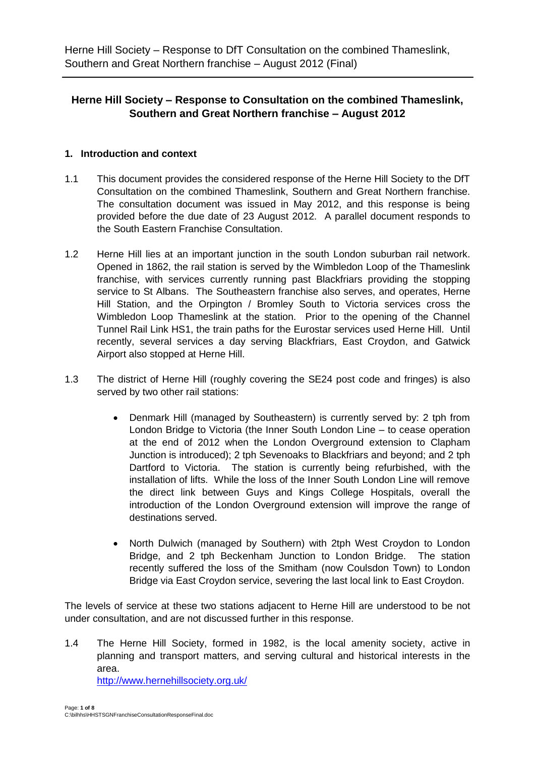## **Herne Hill Society – Response to Consultation on the combined Thameslink, Southern and Great Northern franchise – August 2012**

### **1. Introduction and context**

- 1.1 This document provides the considered response of the Herne Hill Society to the DfT Consultation on the combined Thameslink, Southern and Great Northern franchise. The consultation document was issued in May 2012, and this response is being provided before the due date of 23 August 2012. A parallel document responds to the South Eastern Franchise Consultation.
- 1.2 Herne Hill lies at an important junction in the south London suburban rail network. Opened in 1862, the rail station is served by the Wimbledon Loop of the Thameslink franchise, with services currently running past Blackfriars providing the stopping service to St Albans. The Southeastern franchise also serves, and operates, Herne Hill Station, and the Orpington / Bromley South to Victoria services cross the Wimbledon Loop Thameslink at the station. Prior to the opening of the Channel Tunnel Rail Link HS1, the train paths for the Eurostar services used Herne Hill. Until recently, several services a day serving Blackfriars, East Croydon, and Gatwick Airport also stopped at Herne Hill.
- 1.3 The district of Herne Hill (roughly covering the SE24 post code and fringes) is also served by two other rail stations:
	- Denmark Hill (managed by Southeastern) is currently served by: 2 tph from London Bridge to Victoria (the Inner South London Line – to cease operation at the end of 2012 when the London Overground extension to Clapham Junction is introduced); 2 tph Sevenoaks to Blackfriars and beyond; and 2 tph Dartford to Victoria. The station is currently being refurbished, with the installation of lifts. While the loss of the Inner South London Line will remove the direct link between Guys and Kings College Hospitals, overall the introduction of the London Overground extension will improve the range of destinations served.
	- North Dulwich (managed by Southern) with 2tph West Croydon to London Bridge, and 2 tph Beckenham Junction to London Bridge. The station recently suffered the loss of the Smitham (now Coulsdon Town) to London Bridge via East Croydon service, severing the last local link to East Croydon.

The levels of service at these two stations adjacent to Herne Hill are understood to be not under consultation, and are not discussed further in this response.

1.4 The Herne Hill Society, formed in 1982, is the local amenity society, active in planning and transport matters, and serving cultural and historical interests in the area.

<http://www.hernehillsociety.org.uk/>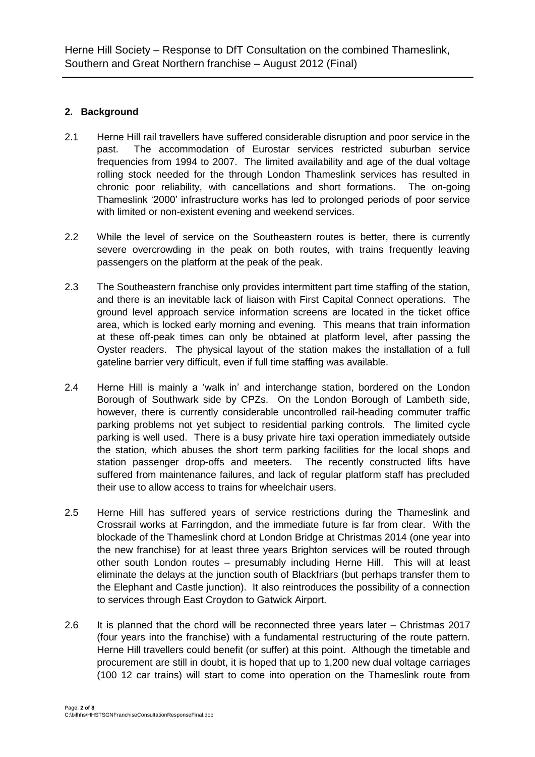## **2. Background**

- 2.1 Herne Hill rail travellers have suffered considerable disruption and poor service in the past. The accommodation of Eurostar services restricted suburban service frequencies from 1994 to 2007. The limited availability and age of the dual voltage rolling stock needed for the through London Thameslink services has resulted in chronic poor reliability, with cancellations and short formations. The on-going Thameslink '2000' infrastructure works has led to prolonged periods of poor service with limited or non-existent evening and weekend services.
- 2.2 While the level of service on the Southeastern routes is better, there is currently severe overcrowding in the peak on both routes, with trains frequently leaving passengers on the platform at the peak of the peak.
- 2.3 The Southeastern franchise only provides intermittent part time staffing of the station, and there is an inevitable lack of liaison with First Capital Connect operations. The ground level approach service information screens are located in the ticket office area, which is locked early morning and evening. This means that train information at these off-peak times can only be obtained at platform level, after passing the Oyster readers. The physical layout of the station makes the installation of a full gateline barrier very difficult, even if full time staffing was available.
- 2.4 Herne Hill is mainly a 'walk in' and interchange station, bordered on the London Borough of Southwark side by CPZs. On the London Borough of Lambeth side, however, there is currently considerable uncontrolled rail-heading commuter traffic parking problems not yet subject to residential parking controls. The limited cycle parking is well used. There is a busy private hire taxi operation immediately outside the station, which abuses the short term parking facilities for the local shops and station passenger drop-offs and meeters. The recently constructed lifts have suffered from maintenance failures, and lack of regular platform staff has precluded their use to allow access to trains for wheelchair users.
- 2.5 Herne Hill has suffered years of service restrictions during the Thameslink and Crossrail works at Farringdon, and the immediate future is far from clear. With the blockade of the Thameslink chord at London Bridge at Christmas 2014 (one year into the new franchise) for at least three years Brighton services will be routed through other south London routes – presumably including Herne Hill. This will at least eliminate the delays at the junction south of Blackfriars (but perhaps transfer them to the Elephant and Castle junction). It also reintroduces the possibility of a connection to services through East Croydon to Gatwick Airport.
- 2.6 It is planned that the chord will be reconnected three years later Christmas 2017 (four years into the franchise) with a fundamental restructuring of the route pattern. Herne Hill travellers could benefit (or suffer) at this point. Although the timetable and procurement are still in doubt, it is hoped that up to 1,200 new dual voltage carriages (100 12 car trains) will start to come into operation on the Thameslink route from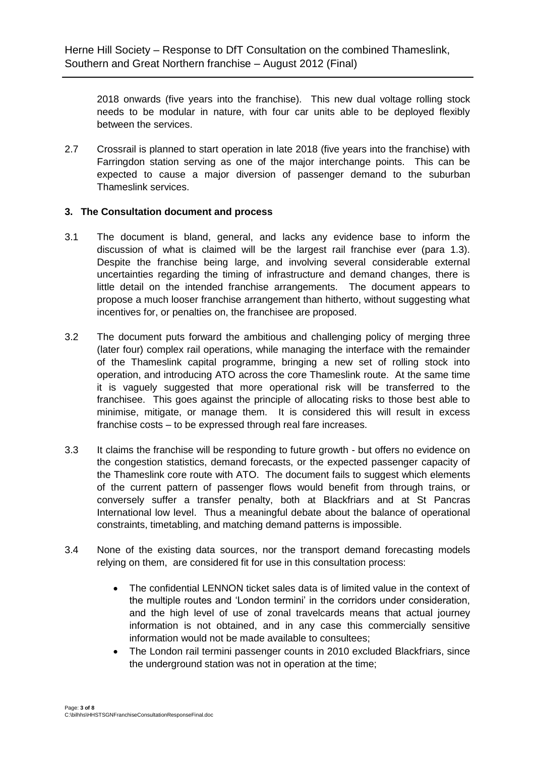2018 onwards (five years into the franchise). This new dual voltage rolling stock needs to be modular in nature, with four car units able to be deployed flexibly between the services.

2.7 Crossrail is planned to start operation in late 2018 (five years into the franchise) with Farringdon station serving as one of the major interchange points. This can be expected to cause a major diversion of passenger demand to the suburban Thameslink services.

#### **3. The Consultation document and process**

- 3.1 The document is bland, general, and lacks any evidence base to inform the discussion of what is claimed will be the largest rail franchise ever (para 1.3). Despite the franchise being large, and involving several considerable external uncertainties regarding the timing of infrastructure and demand changes, there is little detail on the intended franchise arrangements. The document appears to propose a much looser franchise arrangement than hitherto, without suggesting what incentives for, or penalties on, the franchisee are proposed.
- 3.2 The document puts forward the ambitious and challenging policy of merging three (later four) complex rail operations, while managing the interface with the remainder of the Thameslink capital programme, bringing a new set of rolling stock into operation, and introducing ATO across the core Thameslink route. At the same time it is vaguely suggested that more operational risk will be transferred to the franchisee. This goes against the principle of allocating risks to those best able to minimise, mitigate, or manage them. It is considered this will result in excess franchise costs – to be expressed through real fare increases.
- 3.3 It claims the franchise will be responding to future growth but offers no evidence on the congestion statistics, demand forecasts, or the expected passenger capacity of the Thameslink core route with ATO. The document fails to suggest which elements of the current pattern of passenger flows would benefit from through trains, or conversely suffer a transfer penalty, both at Blackfriars and at St Pancras International low level. Thus a meaningful debate about the balance of operational constraints, timetabling, and matching demand patterns is impossible.
- 3.4 None of the existing data sources, nor the transport demand forecasting models relying on them, are considered fit for use in this consultation process:
	- The confidential LENNON ticket sales data is of limited value in the context of the multiple routes and 'London termini' in the corridors under consideration, and the high level of use of zonal travelcards means that actual journey information is not obtained, and in any case this commercially sensitive information would not be made available to consultees;
	- The London rail termini passenger counts in 2010 excluded Blackfriars, since the underground station was not in operation at the time;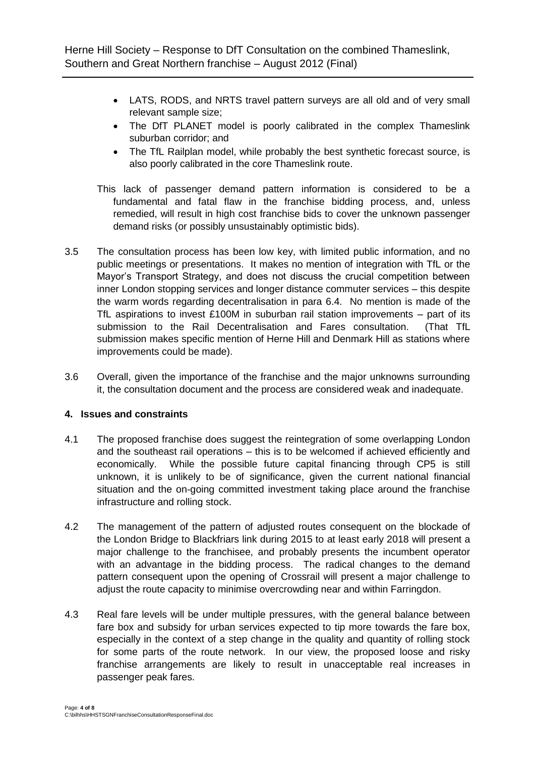- LATS, RODS, and NRTS travel pattern surveys are all old and of very small relevant sample size;
- The DfT PLANET model is poorly calibrated in the complex Thameslink suburban corridor; and
- The TfL Railplan model, while probably the best synthetic forecast source, is also poorly calibrated in the core Thameslink route.
- This lack of passenger demand pattern information is considered to be a fundamental and fatal flaw in the franchise bidding process, and, unless remedied, will result in high cost franchise bids to cover the unknown passenger demand risks (or possibly unsustainably optimistic bids).
- 3.5 The consultation process has been low key, with limited public information, and no public meetings or presentations. It makes no mention of integration with TfL or the Mayor's Transport Strategy, and does not discuss the crucial competition between inner London stopping services and longer distance commuter services – this despite the warm words regarding decentralisation in para 6.4. No mention is made of the TfL aspirations to invest £100M in suburban rail station improvements – part of its submission to the Rail Decentralisation and Fares consultation. (That TfL submission makes specific mention of Herne Hill and Denmark Hill as stations where improvements could be made).
- 3.6 Overall, given the importance of the franchise and the major unknowns surrounding it, the consultation document and the process are considered weak and inadequate.

#### **4. Issues and constraints**

- 4.1 The proposed franchise does suggest the reintegration of some overlapping London and the southeast rail operations – this is to be welcomed if achieved efficiently and economically. While the possible future capital financing through CP5 is still unknown, it is unlikely to be of significance, given the current national financial situation and the on-going committed investment taking place around the franchise infrastructure and rolling stock.
- 4.2 The management of the pattern of adjusted routes consequent on the blockade of the London Bridge to Blackfriars link during 2015 to at least early 2018 will present a major challenge to the franchisee, and probably presents the incumbent operator with an advantage in the bidding process. The radical changes to the demand pattern consequent upon the opening of Crossrail will present a major challenge to adjust the route capacity to minimise overcrowding near and within Farringdon.
- 4.3 Real fare levels will be under multiple pressures, with the general balance between fare box and subsidy for urban services expected to tip more towards the fare box, especially in the context of a step change in the quality and quantity of rolling stock for some parts of the route network. In our view, the proposed loose and risky franchise arrangements are likely to result in unacceptable real increases in passenger peak fares.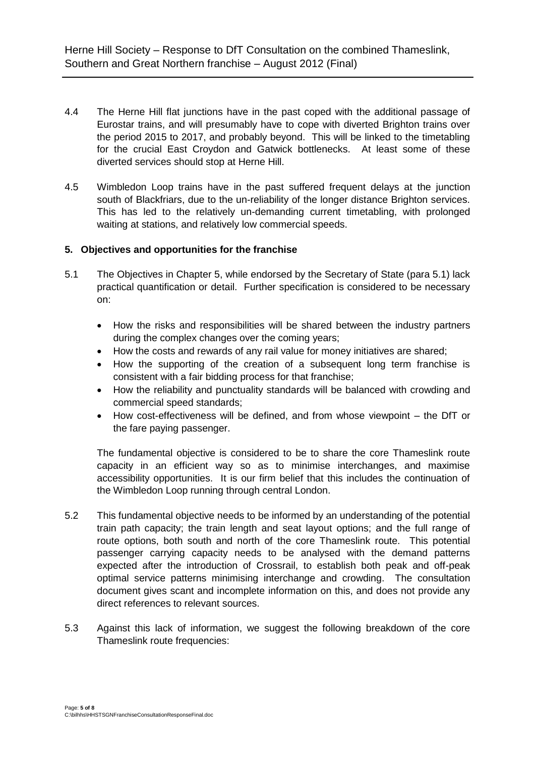- 4.4 The Herne Hill flat junctions have in the past coped with the additional passage of Eurostar trains, and will presumably have to cope with diverted Brighton trains over the period 2015 to 2017, and probably beyond. This will be linked to the timetabling for the crucial East Croydon and Gatwick bottlenecks. At least some of these diverted services should stop at Herne Hill.
- 4.5 Wimbledon Loop trains have in the past suffered frequent delays at the junction south of Blackfriars, due to the un-reliability of the longer distance Brighton services. This has led to the relatively un-demanding current timetabling, with prolonged waiting at stations, and relatively low commercial speeds.

### **5. Objectives and opportunities for the franchise**

- 5.1 The Objectives in Chapter 5, while endorsed by the Secretary of State (para 5.1) lack practical quantification or detail. Further specification is considered to be necessary on:
	- How the risks and responsibilities will be shared between the industry partners during the complex changes over the coming years;
	- How the costs and rewards of any rail value for money initiatives are shared;
	- How the supporting of the creation of a subsequent long term franchise is consistent with a fair bidding process for that franchise;
	- How the reliability and punctuality standards will be balanced with crowding and commercial speed standards;
	- How cost-effectiveness will be defined, and from whose viewpoint the DfT or the fare paying passenger.

The fundamental objective is considered to be to share the core Thameslink route capacity in an efficient way so as to minimise interchanges, and maximise accessibility opportunities. It is our firm belief that this includes the continuation of the Wimbledon Loop running through central London.

- 5.2 This fundamental objective needs to be informed by an understanding of the potential train path capacity; the train length and seat layout options; and the full range of route options, both south and north of the core Thameslink route. This potential passenger carrying capacity needs to be analysed with the demand patterns expected after the introduction of Crossrail, to establish both peak and off-peak optimal service patterns minimising interchange and crowding. The consultation document gives scant and incomplete information on this, and does not provide any direct references to relevant sources.
- 5.3 Against this lack of information, we suggest the following breakdown of the core Thameslink route frequencies: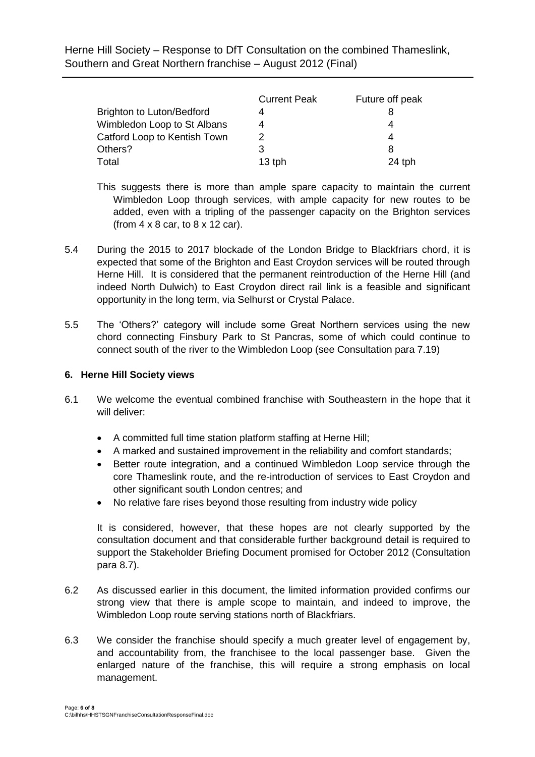Herne Hill Society – Response to DfT Consultation on the combined Thameslink, Southern and Great Northern franchise – August 2012 (Final)

|                              | <b>Current Peak</b> | Future off peak |
|------------------------------|---------------------|-----------------|
| Brighton to Luton/Bedford    |                     |                 |
| Wimbledon Loop to St Albans  |                     |                 |
| Catford Loop to Kentish Town |                     |                 |
| Others?                      | 3                   |                 |
| Total                        | $13$ tph            | 24 tph          |

- This suggests there is more than ample spare capacity to maintain the current Wimbledon Loop through services, with ample capacity for new routes to be added, even with a tripling of the passenger capacity on the Brighton services (from  $4 \times 8$  car, to  $8 \times 12$  car).
- 5.4 During the 2015 to 2017 blockade of the London Bridge to Blackfriars chord, it is expected that some of the Brighton and East Croydon services will be routed through Herne Hill. It is considered that the permanent reintroduction of the Herne Hill (and indeed North Dulwich) to East Croydon direct rail link is a feasible and significant opportunity in the long term, via Selhurst or Crystal Palace.
- 5.5 The 'Others?' category will include some Great Northern services using the new chord connecting Finsbury Park to St Pancras, some of which could continue to connect south of the river to the Wimbledon Loop (see Consultation para 7.19)

#### **6. Herne Hill Society views**

- 6.1 We welcome the eventual combined franchise with Southeastern in the hope that it will deliver:
	- A committed full time station platform staffing at Herne Hill;
	- A marked and sustained improvement in the reliability and comfort standards;
	- Better route integration, and a continued Wimbledon Loop service through the core Thameslink route, and the re-introduction of services to East Croydon and other significant south London centres; and
	- No relative fare rises beyond those resulting from industry wide policy

It is considered, however, that these hopes are not clearly supported by the consultation document and that considerable further background detail is required to support the Stakeholder Briefing Document promised for October 2012 (Consultation para 8.7).

- 6.2 As discussed earlier in this document, the limited information provided confirms our strong view that there is ample scope to maintain, and indeed to improve, the Wimbledon Loop route serving stations north of Blackfriars.
- 6.3 We consider the franchise should specify a much greater level of engagement by, and accountability from, the franchisee to the local passenger base. Given the enlarged nature of the franchise, this will require a strong emphasis on local management.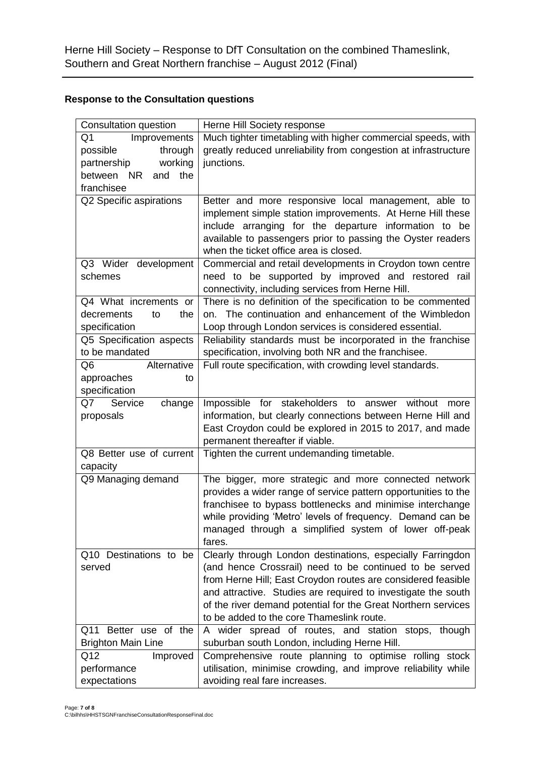# **Response to the Consultation questions**

| Consultation question     | Herne Hill Society response                                                                                           |
|---------------------------|-----------------------------------------------------------------------------------------------------------------------|
| Improvements<br>Q1        | Much tighter timetabling with higher commercial speeds, with                                                          |
| through<br>possible       | greatly reduced unreliability from congestion at infrastructure                                                       |
| working<br>partnership    | junctions.                                                                                                            |
| between NR<br>and<br>the  |                                                                                                                       |
| franchisee                |                                                                                                                       |
| Q2 Specific aspirations   | Better and more responsive local management, able to                                                                  |
|                           | implement simple station improvements. At Herne Hill these                                                            |
|                           | include arranging for the departure information to be                                                                 |
|                           | available to passengers prior to passing the Oyster readers                                                           |
|                           | when the ticket office area is closed.                                                                                |
| Q3 Wider development      | Commercial and retail developments in Croydon town centre                                                             |
| schemes                   | need to be supported by improved and restored rail                                                                    |
|                           | connectivity, including services from Herne Hill.                                                                     |
| Q4 What increments or     | There is no definition of the specification to be commented                                                           |
| decrements<br>to<br>the   | on. The continuation and enhancement of the Wimbledon                                                                 |
| specification             | Loop through London services is considered essential.                                                                 |
| Q5 Specification aspects  | Reliability standards must be incorporated in the franchise                                                           |
| to be mandated            | specification, involving both NR and the franchisee.                                                                  |
| Q6<br>Alternative         | Full route specification, with crowding level standards.                                                              |
| approaches<br>to          |                                                                                                                       |
| specification             |                                                                                                                       |
| Q7<br>Service<br>change   | Impossible for stakeholders to answer without<br>more                                                                 |
| proposals                 | information, but clearly connections between Herne Hill and                                                           |
|                           | East Croydon could be explored in 2015 to 2017, and made                                                              |
|                           | permanent thereafter if viable.                                                                                       |
| Q8 Better use of current  | Tighten the current undemanding timetable.                                                                            |
| capacity                  |                                                                                                                       |
| Q9 Managing demand        | The bigger, more strategic and more connected network                                                                 |
|                           | provides a wider range of service pattern opportunities to the                                                        |
|                           | franchisee to bypass bottlenecks and minimise interchange                                                             |
|                           | while providing 'Metro' levels of frequency. Demand can be                                                            |
|                           | managed through a simplified system of lower off-peak<br>fares.                                                       |
| Q10 Destinations to be    |                                                                                                                       |
| served                    | Clearly through London destinations, especially Farringdon<br>(and hence Crossrail) need to be continued to be served |
|                           | from Herne Hill; East Croydon routes are considered feasible                                                          |
|                           | and attractive. Studies are required to investigate the south                                                         |
|                           | of the river demand potential for the Great Northern services                                                         |
|                           | to be added to the core Thameslink route.                                                                             |
| Q11 Better use of the     | A wider spread of routes, and station stops, though                                                                   |
| <b>Brighton Main Line</b> | suburban south London, including Herne Hill.                                                                          |
| Q12<br>Improved           | Comprehensive route planning to optimise rolling stock                                                                |
| performance               | utilisation, minimise crowding, and improve reliability while                                                         |
| expectations              | avoiding real fare increases.                                                                                         |